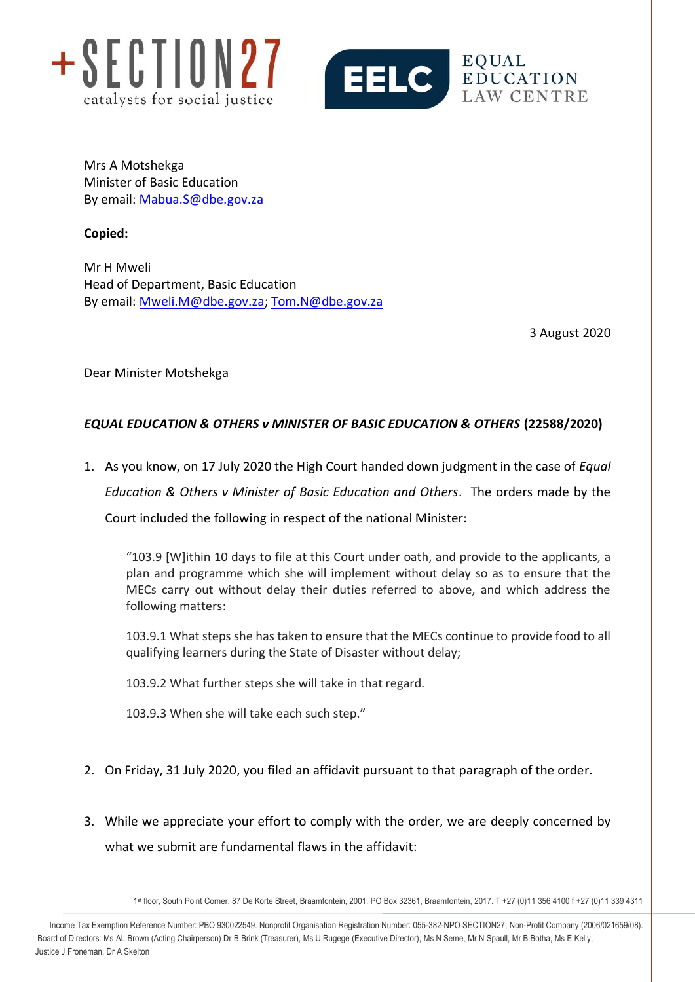



Mrs A Motshekga Minister of Basic Education By email: [Mabua.S@dbe.gov.za](mailto:Mabua.S@dbe.gov.za)

**Copied:** 

Mr H Mweli Head of Department, Basic Education By email: [Mweli.M@dbe.gov.za;](mailto:Mweli.M@dbe.gov.za) [Tom.N@dbe.gov.za](mailto:Tom.N@dbe.gov.za)

3 August 2020

Dear Minister Motshekga

# *EQUAL EDUCATION & OTHERS v MINISTER OF BASIC EDUCATION & OTHERS* **(22588/2020)**

1. As you know, on 17 July 2020 the High Court handed down judgment in the case of *Equal Education & Others v Minister of Basic Education and Others*. The orders made by the Court included the following in respect of the national Minister:

"103.9 [W]ithin 10 days to file at this Court under oath, and provide to the applicants, a plan and programme which she will implement without delay so as to ensure that the MECs carry out without delay their duties referred to above, and which address the following matters:

103.9.1 What steps she has taken to ensure that the MECs continue to provide food to all qualifying learners during the State of Disaster without delay;

103.9.2 What further steps she will take in that regard.

103.9.3 When she will take each such step."

- 2. On Friday, 31 July 2020, you filed an affidavit pursuant to that paragraph of the order.
- 3. While we appreciate your effort to comply with the order, we are deeply concerned by what we submit are fundamental flaws in the affidavit:

1 st floor, South Point Corner, 87 De Korte Street, Braamfontein, 2001. PO Box 32361, Braamfontein, 2017. T +27 (0)11 356 4100 f +27 (0)11 339 4311

info@section27.org.za **www.section27.org.za** Income Tax Exemption Reference Number: PBO 930022549. Nonprofit Organisation Registration Number: 055-382-NPO SECTION27, Non-Profit Company (2006/021659/08). Board of Directors: Ms AL Brown (Acting Chairperson) Dr B Brink (Treasurer), Ms U Rugege (Executive Director), Ms N Seme, Mr N Spaull, Mr B Botha, Ms E Kelly, Justice J Froneman, Dr A Skelton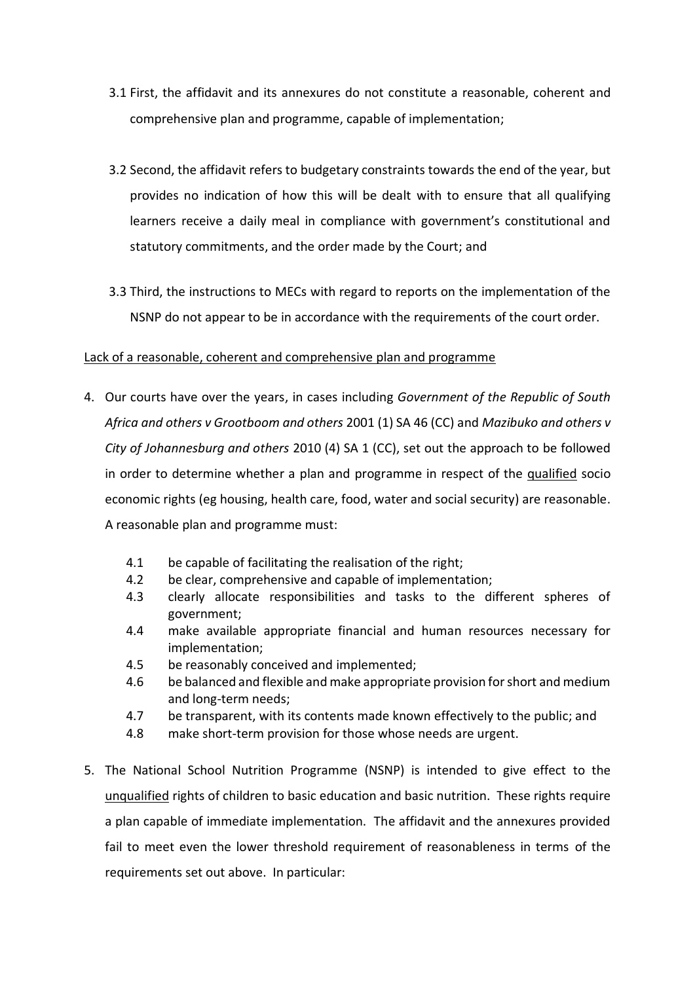- 3.1 First, the affidavit and its annexures do not constitute a reasonable, coherent and comprehensive plan and programme, capable of implementation;
- 3.2 Second, the affidavit refers to budgetary constraints towards the end of the year, but provides no indication of how this will be dealt with to ensure that all qualifying learners receive a daily meal in compliance with government's constitutional and statutory commitments, and the order made by the Court; and
- 3.3 Third, the instructions to MECs with regard to reports on the implementation of the NSNP do not appear to be in accordance with the requirements of the court order.

#### Lack of a reasonable, coherent and comprehensive plan and programme

- 4. Our courts have over the years, in cases including *Government of the Republic of South Africa and others v Grootboom and others* 2001 (1) SA 46 (CC) and *Mazibuko and others v City of Johannesburg and others* 2010 (4) SA 1 (CC), set out the approach to be followed in order to determine whether a plan and programme in respect of the qualified socio economic rights (eg housing, health care, food, water and social security) are reasonable. A reasonable plan and programme must:
	- 4.1 be capable of facilitating the realisation of the right;
	- 4.2 be clear, comprehensive and capable of implementation;
	- 4.3 clearly allocate responsibilities and tasks to the different spheres of government;
	- 4.4 make available appropriate financial and human resources necessary for implementation;
	- 4.5 be reasonably conceived and implemented;
	- 4.6 be balanced and flexible and make appropriate provision for short and medium and long-term needs;
	- 4.7 be transparent, with its contents made known effectively to the public; and
	- 4.8 make short-term provision for those whose needs are urgent.
- 5. The National School Nutrition Programme (NSNP) is intended to give effect to the unqualified rights of children to basic education and basic nutrition. These rights require a plan capable of immediate implementation. The affidavit and the annexures provided fail to meet even the lower threshold requirement of reasonableness in terms of the requirements set out above. In particular: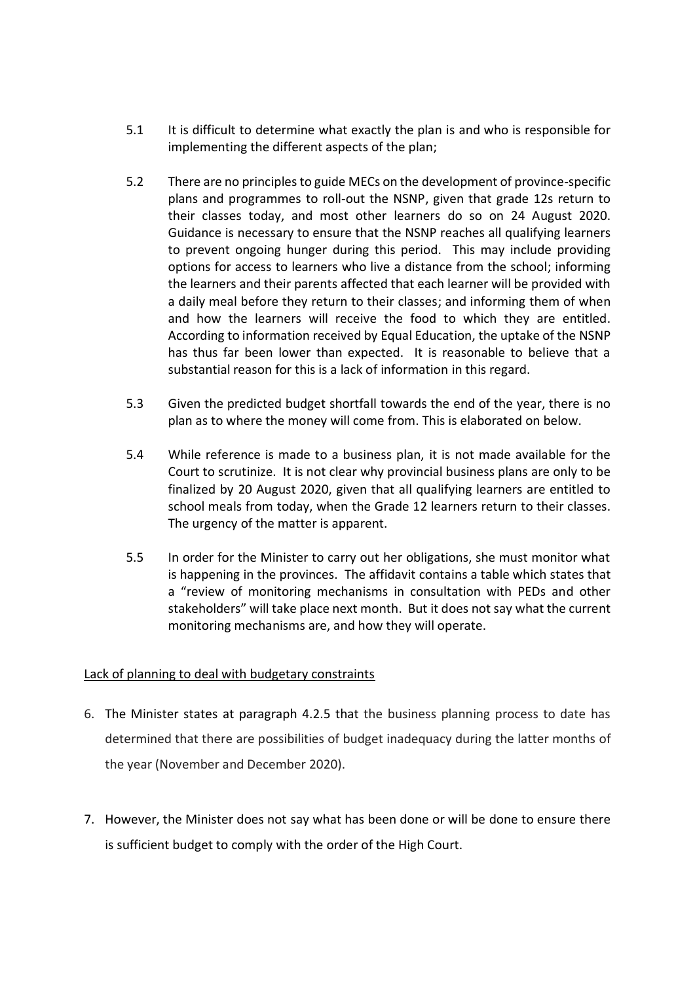- 5.1 It is difficult to determine what exactly the plan is and who is responsible for implementing the different aspects of the plan;
- 5.2 There are no principles to guide MECs on the development of province-specific plans and programmes to roll-out the NSNP, given that grade 12s return to their classes today, and most other learners do so on 24 August 2020. Guidance is necessary to ensure that the NSNP reaches all qualifying learners to prevent ongoing hunger during this period. This may include providing options for access to learners who live a distance from the school; informing the learners and their parents affected that each learner will be provided with a daily meal before they return to their classes; and informing them of when and how the learners will receive the food to which they are entitled. According to information received by Equal Education, the uptake of the NSNP has thus far been lower than expected. It is reasonable to believe that a substantial reason for this is a lack of information in this regard.
- 5.3 Given the predicted budget shortfall towards the end of the year, there is no plan as to where the money will come from. This is elaborated on below.
- 5.4 While reference is made to a business plan, it is not made available for the Court to scrutinize. It is not clear why provincial business plans are only to be finalized by 20 August 2020, given that all qualifying learners are entitled to school meals from today, when the Grade 12 learners return to their classes. The urgency of the matter is apparent.
- 5.5 In order for the Minister to carry out her obligations, she must monitor what is happening in the provinces. The affidavit contains a table which states that a "review of monitoring mechanisms in consultation with PEDs and other stakeholders" will take place next month. But it does not say what the current monitoring mechanisms are, and how they will operate.

## Lack of planning to deal with budgetary constraints

- 6. The Minister states at paragraph 4.2.5 that the business planning process to date has determined that there are possibilities of budget inadequacy during the latter months of the year (November and December 2020).
- 7. However, the Minister does not say what has been done or will be done to ensure there is sufficient budget to comply with the order of the High Court.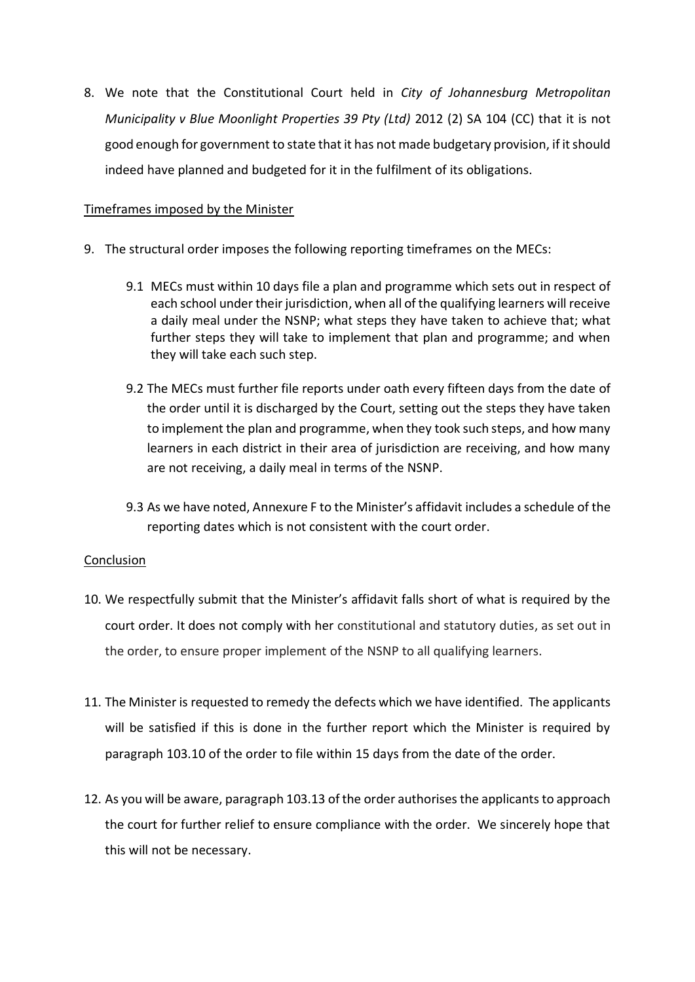8. We note that the Constitutional Court held in *City of Johannesburg Metropolitan Municipality v Blue Moonlight Properties 39 Pty (Ltd)* 2012 (2) SA 104 (CC) that it is not good enough for government to state that it has not made budgetary provision, if it should indeed have planned and budgeted for it in the fulfilment of its obligations.

#### Timeframes imposed by the Minister

- 9. The structural order imposes the following reporting timeframes on the MECs:
	- 9.1 MECs must within 10 days file a plan and programme which sets out in respect of each school under their jurisdiction, when all of the qualifying learners will receive a daily meal under the NSNP; what steps they have taken to achieve that; what further steps they will take to implement that plan and programme; and when they will take each such step.
	- 9.2 The MECs must further file reports under oath every fifteen days from the date of the order until it is discharged by the Court, setting out the steps they have taken to implement the plan and programme, when they took such steps, and how many learners in each district in their area of jurisdiction are receiving, and how many are not receiving, a daily meal in terms of the NSNP.
	- 9.3 As we have noted, Annexure F to the Minister's affidavit includes a schedule of the reporting dates which is not consistent with the court order.

## Conclusion

- 10. We respectfully submit that the Minister's affidavit falls short of what is required by the court order. It does not comply with her constitutional and statutory duties, as set out in the order, to ensure proper implement of the NSNP to all qualifying learners.
- 11. The Minister is requested to remedy the defects which we have identified. The applicants will be satisfied if this is done in the further report which the Minister is required by paragraph 103.10 of the order to file within 15 days from the date of the order.
- 12. As you will be aware, paragraph 103.13 of the order authorises the applicants to approach the court for further relief to ensure compliance with the order. We sincerely hope that this will not be necessary.